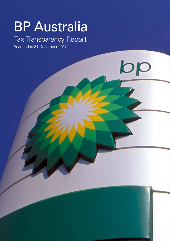# BP Australia

# Tax Transparency Report

 $b\overline{p}$ 

Year ended 31 December 2017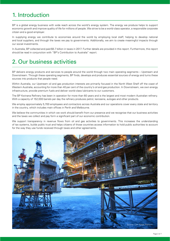# 1. Introduction

BP is a global energy business with wide reach across the world's energy system. The energy we produce helps to support economic growth and improve quality of life for millions of people. We strive to be a world-class operator, a responsible corporate citizen and a good employer.

In supplying energy we contribute to economies around the world by employing local staff, helping to develop national and local suppliers, and through the taxes we pay to governments. Additionally, we aim to create meaningful impacts through our social investments.

In Australia, BP collected and paid \$5.7 billion in taxes in 2017. Further details are provided in this report. Furthermore, this report should be read in conjunction with "BP's Contribution to Australia" report.

# 2. Our business activities

BP delivers energy products and services to people around the world through two main operating segments – Upstream and Downstream. Through these operating segments, BP finds, develops and produces essential sources of energy and turns these sources into products that people need.

Within Australia, our Upstream oil and gas production interests are primarily focused in the North West Shelf off the coast of Western Australia, accounting for more than 40 per cent of the country's oil and gas production. In Downstream, we own energy infrastructure, provide premium fuels and deliver world-class lubricants to our customers.

The BP Kwinana Refinery has been in operation for more than 60 years and is the largest and most modern Australian refinery. With a capacity of 152,000 barrels per day the refinery produces petrol, kerosene, autogas and other products.

We employ approximately 5,700 employees and contractors across Australia and our operations cover every state and territory in the country, which includes main offices in Perth and Melbourne.

We believe the communities in which we work should benefit from our presence and we recognise that our business activities and the taxes we collect and pay form a significant part of our economic contribution.

We support transparency in revenue flows from oil and gas activities to governments. This increases the understanding of tax systems, builds public trust and helps citizens of those countries access information to hold public authorities to account for the way they use funds received through taxes and other agreements.

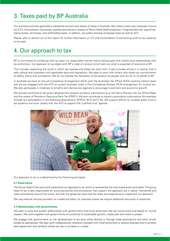# 3. Taxes paid by BP Australia

Our business activities generate a substantial amount and variety of taxes in Australia. We collect and/or pay corporate income tax (CIT), Downstream fuel excise, royalties and excise in respect of North West Shelf production, fringe benefits tax, payroll tax, stamp duties, land taxes, and withholding taxes. In addition, we collect and pay employee taxes as well as GST.

Please refer to section six of this report for further information on CIT and reconciliation of accounting profit to tax expense to tax paid.

# 4. Our approach to tax

BP is committed to complying with tax laws in a responsible manner and to having open and constructive relationships with tax authorities. Our approach to tax aligns with BP's code of conduct which sets out what is expected of everyone at BP.

This includes respecting the world in which we operate and those we work with. It also includes acting in a manner that is safe, ethical and consistent with applicable laws and regulations. We seek to work with others who share our commitments to safety, ethics and compliance. We do not tolerate the facilitation of tax evasion by people who act for or on behalf of BP.

In Australia we have an Annual Compliance Arrangement (ACA) with the Australian Tax Office (ATO) covering indirect taxes and we are engaged with the ATO on current business under a Pre-Compliance Review (PCR) arrangement for income tax. We also participate in initiatives to simplify and improve tax regimes to encourage investment and economic growth.

We actively contribute to tax policy development reviews via direct submissions (e.g. the Henry Review, the Tax White Paper and the review of Petroleum Resource Rent Tax (PRRT)). We also contribute to industry association submissions (for example through our participation in the following associations; APPEA, BCA and CTA). We support efforts to increase public trust in tax systems and work closely with the ATO to support the 'justified trust' agenda.



Our approach to tax is underpinned by the following principles:

#### **4.1 Governance**

The Group Head of Tax owns and implements our approach to tax which is reviewed by the main board audit committee. The group head of tax is also responsible for ensuring policies and procedures that support the approach are in place, maintained and used consistently around the world, and that the global tax team has the skills and experience to implement our approach.

We use external service providers on a selective basis, for example where we require additional resources or expertise.

#### **4.2 Relationships with governments**

We seek to build and sustain relationships with governments and fiscal authorities that are constructive and based on mutual respect. We work together with governments to contribute to sustainable growth, create jobs and invest in people.

We engage with governments on the development of tax laws either directly or through trade associations and other similar bodies as appropriate. We also work collaboratively wherever possible with fiscal authorities to resolve disputes and to achieve early agreement and certainty where tax law is complex or unclear.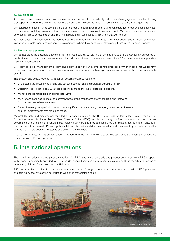#### **4.3 Tax planning**

At BP, we adhere to relevant tax law and we seek to minimise the risk of uncertainty or disputes. We engage in efficient tax planning that supports our business and reflects commercial and economic activity. We do not engage in artificial tax arrangements.

We establish entities in jurisdictions suitable to hold our overseas investments, giving consideration to our business activities, the prevailing regulatory environment, and as appropriate in line with joint venture requirements. We seek to conduct transactions between BP group companies on an arm's length basis and in accordance with current OECD principles.

Tax incentives and exemptions are sometimes implemented by governments and fiscal authorities in order to support investment, employment and economic development. Where they exist we seek to apply them in the manner intended.

#### **4.4 Tax risk management**

We do not prescribe acceptable levels of tax risk. We seek clarity within the law and evaluate the potential tax outcomes of our business transactions and escalate tax risks and uncertainties to the relevant level within BP to determine the appropriate management response.

We follow BP's risk management system and policy as part of our internal control processes, which means that we identify, assess and manage tax risks from our business transactions, account for them appropriately and implement and monitor controls over them.

This system and policy, together with our tax governance, requires us to:

- Understand the fiscal environment, and assess specific risks and potential exposure for BP.
- Determine how best to deal with these risks to manage the overall potential exposure.
- Manage the identified risks in appropriate ways.
- Monitor and seek assurance of the effectiveness of the management of these risks and intervene for improvement where necessary.
- Report internally on a periodic basis on how significant risks are being managed, monitored and assured and the improvements that are being made.

Material tax risks and disputes are reported on a periodic basis by the BP Group Head of Tax to the Group Financial Risk Committee, which is chaired by the Chief Financial Officer (CFO). In this way the group financial risk committee provides governance and oversight of financial risks, including tax risks and provides assurance that material tax risks are managed in accordance with approved BP Group policies. Material tax risks and disputes are additionally reviewed by our external auditor and the main board audit committee is briefed on an annual basis.

At a local level, material risks are identified and reported to the CFO and Board to provide assurance that mitigating actions are consistent with BP Group policies.

# 5. International operations

The main international related party transactions for BP Australia include crude and product purchases from BP Singapore, with financing principally provided by BP in the UK, support services predominantly provided by BP in the UK, and license of brands (e.g. BP and Castrol) owned by BP in the UK.

BP's policy is that all related party transactions occur on arm's length terms in a manner consistent with OECD principles and abiding by the laws of the countries in which the transactions occur.

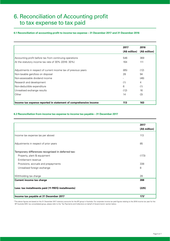# 6. Reconciliation of Accounting profit to tax expense to tax paid

#### **6.1 Reconciliation of accounting profit to income tax expense – 31 December 2017 and 31 December 2016**

|                                                                  | 2017          | 2016          |
|------------------------------------------------------------------|---------------|---------------|
|                                                                  | (A\$ million) | (A\$ million) |
| Accounting profit before tax from continuing operations          | 546           | 369           |
| At the statutory income tax rate of 30% (2016: 30%)              | 164           | 111           |
| Adjustments in respect of current income tax of previous years   | (85)          | (12)          |
| Non-taxable gain/loss on disposal                                | 28            | 94            |
| Non-assessable dividend income                                   |               | (46)          |
| Research and development                                         | (1)           | 4             |
| Non-deductible expenditure                                       | 6             | (1)           |
| Unrealised exchange results                                      | (12)          | 16            |
| Other                                                            | 14            | (3)           |
| Income tax expense reported in statement of comprehensive income | 113           | 163           |

#### **6.2 Reconciliation from income tax expense to income tax payable – 31 December 2017**

|                                                    | 2017          |
|----------------------------------------------------|---------------|
|                                                    | (A\$ million) |
| Income tax expense (as per above)                  | 113           |
| Adjustments in respect of prior years              | 85            |
| Temporary differences recognised in deferred tax:  |               |
| Property, plant & equipment                        | (173)         |
| Entitlement revenue                                |               |
| Provisions, accruals and prepayments               | 338           |
| Unrealised foreign exchange                        | 8             |
| Withholding tax charge                             | 28            |
| <b>Current income tax charge</b>                   | 398           |
| Less: tax installments paid (11 PAYG installments) | (225)         |
| Income tax payable at 31 December 2017             | $173*$        |

\*The above figures are based on the 31 December 2017 statutory accounts for the BP group in Australia. For corporate income tax paid figures relating to the 2018 income tax year for the BP Australia MEC tax consolidated group, please refer to the 'Tax Payments and Collections on behalf of Governments' section below.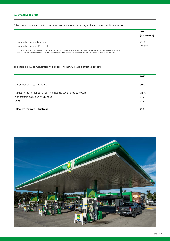#### **6.3 Effective tax rate**

Effective tax rate is equal to income tax expense as a percentage of accounting profit before tax.

|                                                                                                                                                                                                                                                                                  | 2017          |  |
|----------------------------------------------------------------------------------------------------------------------------------------------------------------------------------------------------------------------------------------------------------------------------------|---------------|--|
|                                                                                                                                                                                                                                                                                  | (A\$ million) |  |
|                                                                                                                                                                                                                                                                                  |               |  |
| ' Effective tax rate – Australia                                                                                                                                                                                                                                                 | 21%           |  |
| Effective tax rate - BP Global                                                                                                                                                                                                                                                   | $52\%$ **     |  |
| ** Source: BP 2017 Annual Report and Form 20-F 2017 (p.151). The increase in BP Global's effective tax rate in 2017 relates primarily to the<br>deferred tax impact of the reduction in the US federal corporate income tax rate from 35% to 21%, effective from 1 January 2018. |               |  |

The table below demonstrates the impacts to BP Australia's effective tax rate

|                                                                | 2017  |
|----------------------------------------------------------------|-------|
| Corporate tax rate - Australia                                 | 30%   |
| Adjustments in respect of current income tax of previous years | (16%) |
| Non-taxable gain/loss on disposal                              | 5%    |
| Other                                                          | 2%    |
|                                                                |       |
| <b>Effective tax rate - Australia</b>                          | 21%   |